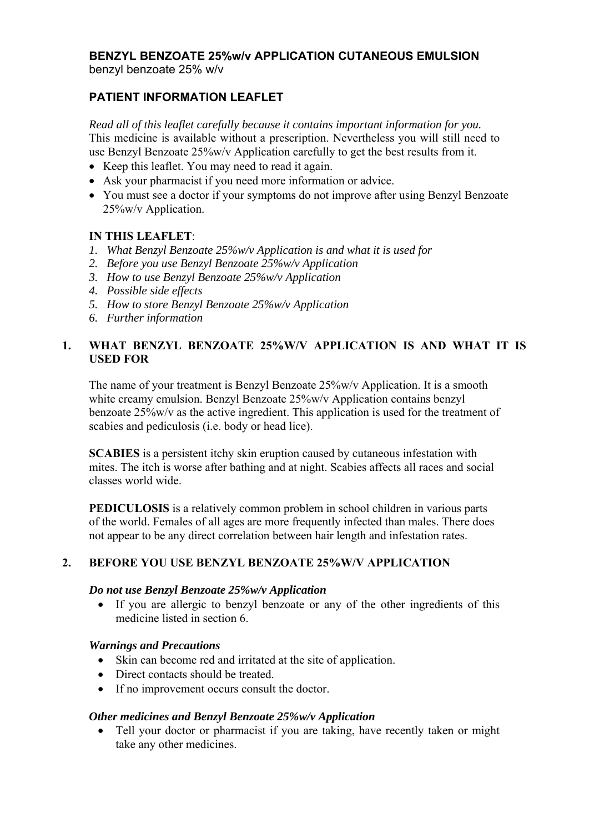### **BENZYL BENZOATE 25%w/v APPLICATION CUTANEOUS EMULSION** benzyl benzoate 25% w/v

# **PATIENT INFORMATION LEAFLET**

*Read all of this leaflet carefully because it contains important information for you.*  This medicine is available without a prescription. Nevertheless you will still need to use Benzyl Benzoate 25%w/v Application carefully to get the best results from it.

- Keep this leaflet. You may need to read it again.
- Ask your pharmacist if you need more information or advice.
- You must see a doctor if your symptoms do not improve after using Benzyl Benzoate 25%w/v Application.

### **IN THIS LEAFLET**:

- *1. What Benzyl Benzoate 25%w/v Application is and what it is used for*
- *2. Before you use Benzyl Benzoate 25%w/v Application*
- *3. How to use Benzyl Benzoate 25%w/v Application*
- *4. Possible side effects*
- *5. How to store Benzyl Benzoate 25%w/v Application*
- *6. Further information*

## **1. WHAT BENZYL BENZOATE 25%W/V APPLICATION IS AND WHAT IT IS USED FOR**

The name of your treatment is Benzyl Benzoate 25%w/v Application. It is a smooth white creamy emulsion. Benzyl Benzoate 25%w/v Application contains benzyl benzoate 25%w/v as the active ingredient. This application is used for the treatment of scabies and pediculosis (i.e. body or head lice).

**SCABIES** is a persistent itchy skin eruption caused by cutaneous infestation with mites. The itch is worse after bathing and at night. Scabies affects all races and social classes world wide.

**PEDICULOSIS** is a relatively common problem in school children in various parts of the world. Females of all ages are more frequently infected than males. There does not appear to be any direct correlation between hair length and infestation rates.

## **2. BEFORE YOU USE BENZYL BENZOATE 25%W/V APPLICATION**

#### *Do not use Benzyl Benzoate 25%w/v Application*

 If you are allergic to benzyl benzoate or any of the other ingredients of this medicine listed in section 6.

### *Warnings and Precautions*

- Skin can become red and irritated at the site of application.
- Direct contacts should be treated.
- If no improvement occurs consult the doctor.

### *Other medicines and Benzyl Benzoate 25%w/v Application*

 Tell your doctor or pharmacist if you are taking, have recently taken or might take any other medicines.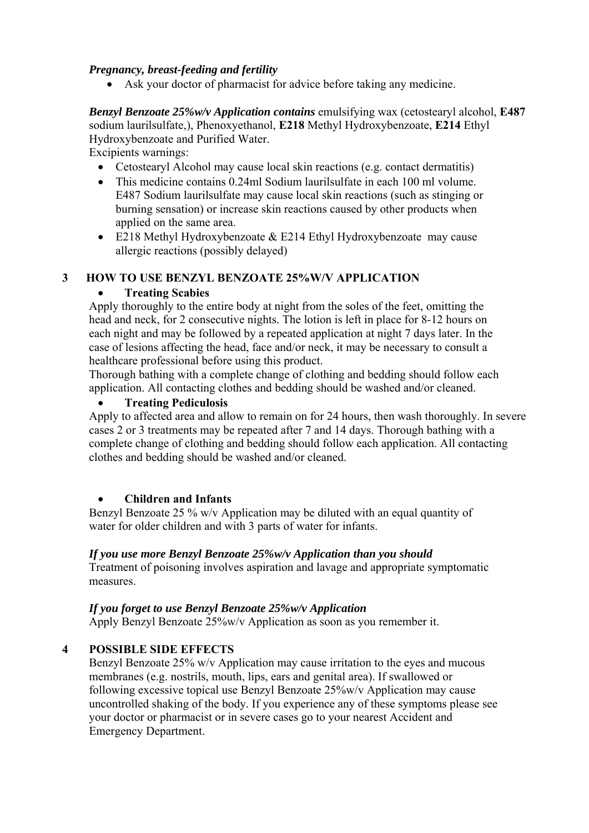## *Pregnancy, breast-feeding and fertility*

Ask your doctor of pharmacist for advice before taking any medicine.

*Benzyl Benzoate 25%w/v Application contains* emulsifying wax (cetostearyl alcohol, **E487**  sodium laurilsulfate,), Phenoxyethanol, **E218** Methyl Hydroxybenzoate, **E214** Ethyl Hydroxybenzoate and Purified Water.

Excipients warnings:

- Cetostearyl Alcohol may cause local skin reactions (e.g. contact dermatitis)
- This medicine contains 0.24ml Sodium laurilsulfate in each 100 ml volume. E487 Sodium laurilsulfate may cause local skin reactions (such as stinging or burning sensation) or increase skin reactions caused by other products when applied on the same area.
- $\bullet$  E218 Methyl Hydroxybenzoate & E214 Ethyl Hydroxybenzoate may cause allergic reactions (possibly delayed)

## **3 HOW TO USE BENZYL BENZOATE 25%W/V APPLICATION**

## **Treating Scabies**

Apply thoroughly to the entire body at night from the soles of the feet, omitting the head and neck, for 2 consecutive nights. The lotion is left in place for 8-12 hours on each night and may be followed by a repeated application at night 7 days later. In the case of lesions affecting the head, face and/or neck, it may be necessary to consult a healthcare professional before using this product.

Thorough bathing with a complete change of clothing and bedding should follow each application. All contacting clothes and bedding should be washed and/or cleaned.

## **Treating Pediculosis**

Apply to affected area and allow to remain on for 24 hours, then wash thoroughly. In severe cases 2 or 3 treatments may be repeated after 7 and 14 days. Thorough bathing with a complete change of clothing and bedding should follow each application. All contacting clothes and bedding should be washed and/or cleaned.

# **Children and Infants**

Benzyl Benzoate 25 % w/v Application may be diluted with an equal quantity of water for older children and with 3 parts of water for infants.

## *If you use more Benzyl Benzoate 25%w/v Application than you should*

Treatment of poisoning involves aspiration and lavage and appropriate symptomatic measures.

## *If you forget to use Benzyl Benzoate 25%w/v Application*

Apply Benzyl Benzoate 25%w/v Application as soon as you remember it.

# **4 POSSIBLE SIDE EFFECTS**

Benzyl Benzoate 25% w/v Application may cause irritation to the eyes and mucous membranes (e.g. nostrils, mouth, lips, ears and genital area). If swallowed or following excessive topical use Benzyl Benzoate 25%w/v Application may cause uncontrolled shaking of the body. If you experience any of these symptoms please see your doctor or pharmacist or in severe cases go to your nearest Accident and Emergency Department.